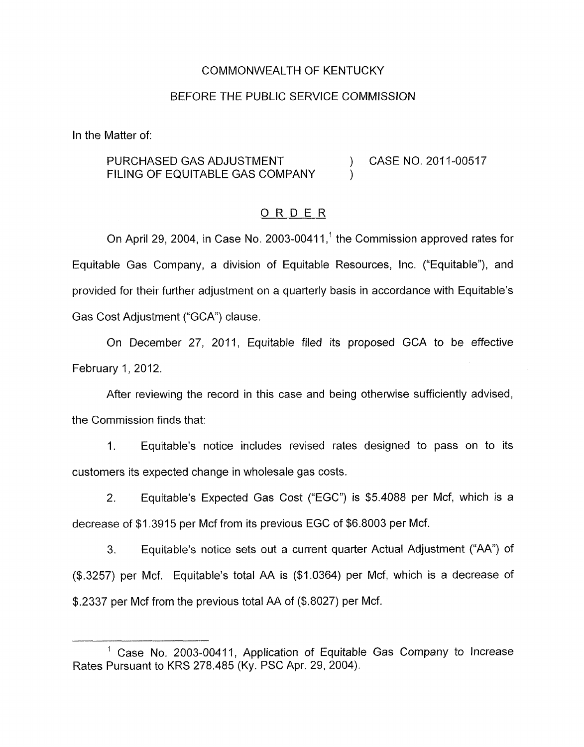### COMMONWEALTH OF KENTUCKY

### BEFORE THE PUBLIC SERVICE COMMISSION

In the Matter of:

## PURCHASED GAS ADJUSTMENT (2011-00517 FILING OF EQUITABLE GAS COMPANY

### ORDER

On April 29, 2004, in Case No. 2003-00411,<sup>1</sup> the Commission approved rates for Equitable Gas Company, a division of Equitable Resources, Inc. ("Equitable"), and provided for their further adjustment on a quarterly basis in accordance with Equitable's Gas Cost Adjustment ("GCA'') clause.

On December 27, 2011, Equitable filed its proposed GCA to be effective February 1, 2012.

After reviewing the record in this case and being otherwise sufficiently advised, the Commission finds that:

1. Equitable's notice includes revised rates designed to pass on to its customers its expected change in wholesale gas costs.

2. Equitable's Expected Gas Cost ("EGC") is \$5.4088 per Mcf, which is a decrease of \$1.3915 per Mcf from its previous EGC of \$6.8003 per Mcf.

3. Equitable's notice sets out a current quarter Actual Adjustment ("AA") of (\$.3257) per Mcf. Equitable's total AA is (\$1.0364) per Mcf, which is a decrease of \$.2337 per Mcf from the previous total AA of (\$.8027) per Mcf.

<sup>&</sup>lt;sup>1</sup> Case No. 2003-00411, Application of Equitable Gas Company to Increase Rates Pursuant to KRS 278.485 (Ky. PSC Apr. 29, 2004).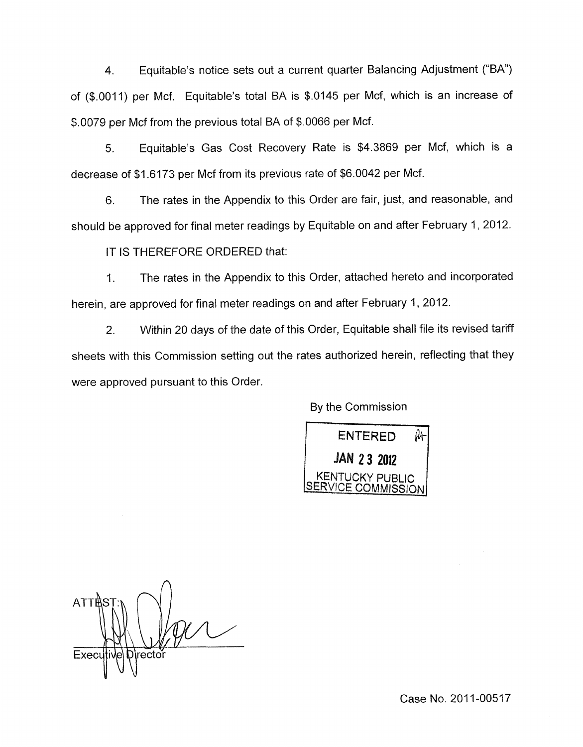4. Equitable's notice sets out a current quarter Balancing Adjustment ("BA") of (\$.0011) per Mcf. Equitable's total BA is \$.0145 per Mcf, which is an increase of \$.0079 per Mcf from the previous total BA of \$.0066 per Mcf.

5. Equitable's Gas Cost Recovery Rate is \$4.3869 per Mcf, which is a decrease of \$1.6173 per Mcf from its previous rate of \$6.0042 per Mcf.

6. The rates in the Appendix to this Order are fair, just, and reasonable, and should be approved for final meter readings by Equitable on and after February 1, 2012.

IT IS THEREFORE ORDERED that:

1. The rates in the Appendix to this Order, attached hereto and incorporated herein, are approved for final meter readings on and after February 1, 2012.

2. Within 20 days of the date of this Order, Equitable shall file its revised tariff sheets with this Commission setting out the rates authorized herein, reflecting that they were approved pursuant to this Order.

By the Commission



 $\bigcap$ **ATTAS** Director Execu

Case No. 2011-00517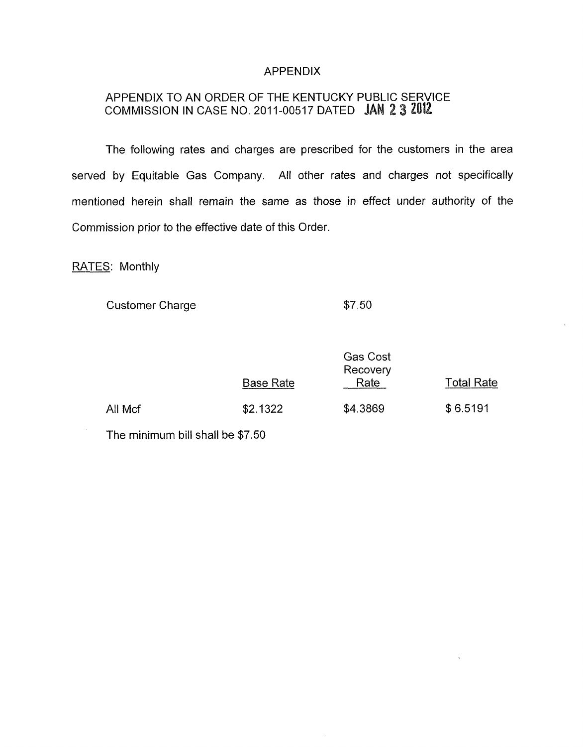## APPENDIX

# APPENDIX TO AN ORDER OF THE KENTUCKY PUBLIC SERVICE COMMISSION IN CASE NO. 2011-00517 DATED JAN 2 3 2012

The following rates and charges are prescribed for the customers in the area served by Equitable Gas Company. All other rates and charges not specifically mentioned herein shall remain the same as those in effect under authority of the Commission prior to the effective date of this Order.

RATES: Monthly

**Customer Charge \$7.50** 

|         | <b>Base Rate</b> | <b>Gas Cost</b><br>Recovery<br>Rate | Total Rate |
|---------|------------------|-------------------------------------|------------|
| All Mcf | \$2.1322         | \$4.3869                            | \$6.5191   |

The minimum bill shall be \$7.50